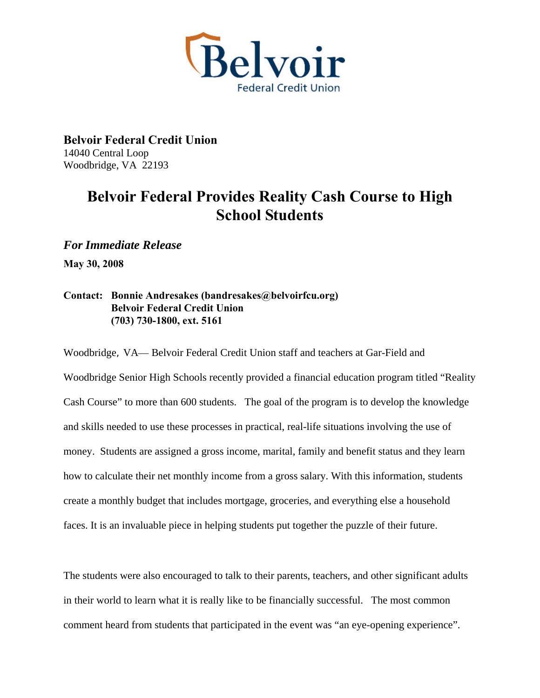

**Belvoir Federal Credit Union**  14040 Central Loop Woodbridge, VA 22193

## **Belvoir Federal Provides Reality Cash Course to High School Students**

*For Immediate Release* 

**May 30, 2008** 

## **Contact: Bonnie Andresakes (bandresakes@belvoirfcu.org) Belvoir Federal Credit Union (703) 730-1800, ext. 5161**

Woodbridge, VA— Belvoir Federal Credit Union staff and teachers at Gar-Field and Woodbridge Senior High Schools recently provided a financial education program titled "Reality Cash Course" to more than 600 students. The goal of the program is to develop the knowledge and skills needed to use these processes in practical, real-life situations involving the use of money. Students are assigned a gross income, marital, family and benefit status and they learn how to calculate their net monthly income from a gross salary. With this information, students create a monthly budget that includes mortgage, groceries, and everything else a household faces. It is an invaluable piece in helping students put together the puzzle of their future.

The students were also encouraged to talk to their parents, teachers, and other significant adults in their world to learn what it is really like to be financially successful. The most common comment heard from students that participated in the event was "an eye-opening experience".